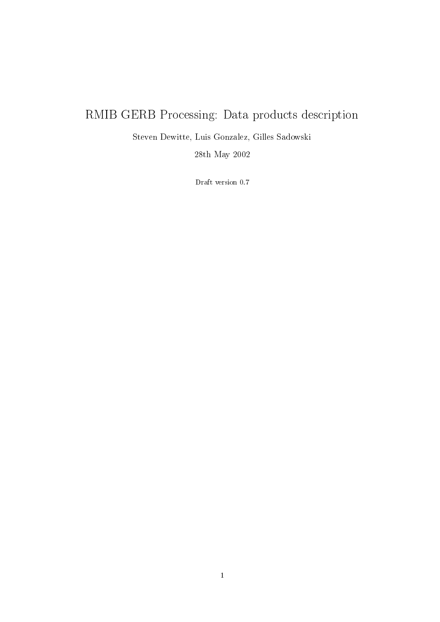# RMIB GERB Processing: Data products description

Steven Dewitte, Luis Gonzalez, Gilles Sadowski

28th May 2002

Draft version 0.7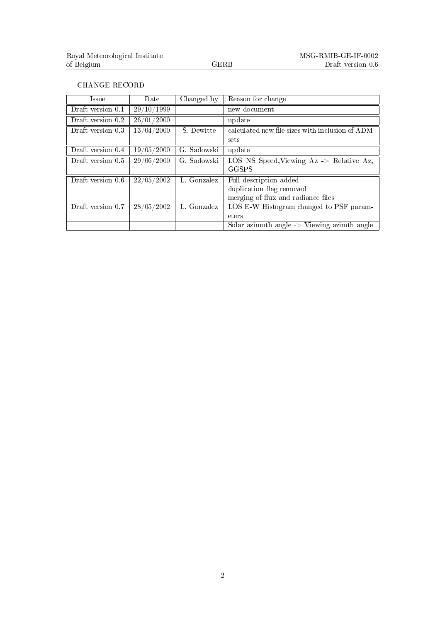#### CHANGE RECORD

| Issue                          | Date                 | Changed by  | Reason for change                                      |
|--------------------------------|----------------------|-------------|--------------------------------------------------------|
| Draft version 0.1              | 29/10/1999           |             | new document                                           |
| Draft version 0.2              | 26/01/2000           |             | update                                                 |
| Draft version 0.3              | 13/04/2000           | S. Dewitte  | calculated new file sizes with inclusion of ADM        |
|                                |                      |             | sets                                                   |
| Draft version $\overline{0.4}$ | $\frac{19}{05}/2000$ | G. Sadowski | update                                                 |
| Draft version 0.5              | 29/06/2000           | G. Sadowski | LOS NS Speed, Viewing $Az \rightarrow$ Relative Az,    |
|                                |                      |             | GGSPS                                                  |
| Draft version 0.6              | 22/05/2002           | L. Gonzalez | Full description added                                 |
|                                |                      |             | duplication flag removed                               |
|                                |                      |             | merging of flux and radiance files                     |
| Draft version 0.7              | 28/05/2002           | L. Gonzalez | LOS E-W Histogram changed to PSF param-                |
|                                |                      |             | eters                                                  |
|                                |                      |             | Solar azimuth angle $\rightarrow$ Viewing azimth angle |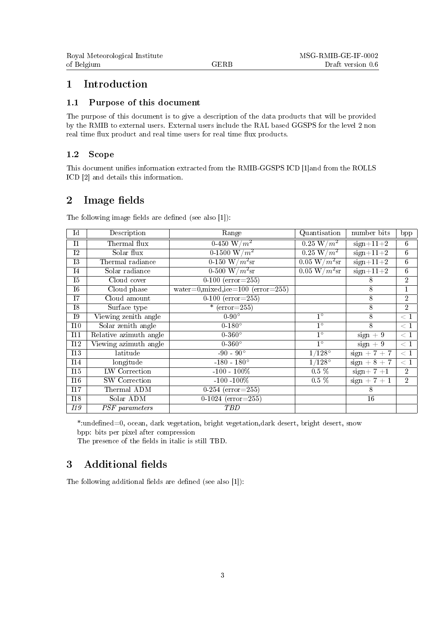#### 1 Introduction

#### 1.1 Purpose of this document

The purpose of this document is to give a description of the data products that will be provided by the RMIB to external users. External users include the RAL based GGSPS for the level 2 non real time flux product and real time users for real time flux products.

#### 1.2 Scope

This document unifies information extracted from the RMIB-GGSPS ICD [1]and from the ROLLS ICD [2] and details this information.

### 2 Image fields

| Ιd         | Description            | Range                                      | Quantisation                        | number bits    | $_{\rm bpp}$    |
|------------|------------------------|--------------------------------------------|-------------------------------------|----------------|-----------------|
| T1         | Thermal flux           | 0-450 W/ $m^2$                             | $0.25 \,\mathrm{W/m^2}$             | $sign+11+2$    | 6               |
| I2         | Solar flux             | 0-1500 W/ $m^2$                            | $0.25 \,\mathrm{W/m^2}$             | $sign+11+2$    | $6\overline{6}$ |
| 13         | Thermal radiance       | $\sqrt{0.150 W/m^2}$ sr                    | $0.05\,\,\mathrm{W}/m^2\mathrm{sr}$ | $sign+11+2$    | $6\overline{6}$ |
| I4         | Solar radiance         | $0-500 \, \mathrm{W}/m^2\mathrm{sr}$       | $0.05 \text{ W}/m^2\text{sr}$       | $sign+11+2$    | $\overline{6}$  |
| T5         | Cloud cover            | $\overline{0-100}$ (error=255)             |                                     | 8              | $\overline{2}$  |
| I6         | Cloud phase            | water=0, mixed, ice= $100$ (error= $255$ ) |                                     | 8              | $\mathbf{1}$    |
| T7         | Cloud amount           | $\overline{0-100}$ (error=255)             |                                     | 8              | $\overline{2}$  |
| I8         | Surface type           | * $(error=255)$                            |                                     | 8              | $\overline{2}$  |
| 19         | Viewing zenith angle   | $0-90^\circ$                               | $1^{\circ}$                         | 8              | < 1             |
| 110        | Solar zenith angle     | $0-180^\circ$                              | $1^{\circ}$                         | 8              | < 1             |
| 111        | Relative azimuth angle | $0-360^\circ$                              | $1^{\circ}$                         | $sign + 9$     | < 1             |
| <b>I12</b> | Viewing azimuth angle  | $0-360^\circ$                              | $1^{\circ}$                         | $sign + 9$     | $\leq 1$        |
| 113        | latitude               | $-90 - 90^{\circ}$                         | $1/128^\circ$                       | $sign + 7 + 7$ | $\lt 1$         |
| <b>I14</b> | longitude              | $-180 - 180^{\circ}$                       | $1/128^{\circ}$                     | $sign + 8 + 7$ | $\overline{<}1$ |
| 115        | <b>LW</b> Correction   | $-100 - 100\%$                             | $0.5\%$                             | $sign+7+1$     | $\overline{2}$  |
| 116        | SW Correction          | $-100 - 100\%$                             | $0.5\%$                             | $sign + 7 + 1$ | $\overline{2}$  |
| 117        | Thermal ADM            | 0-254 ( $error=255$ )                      |                                     | 8              |                 |
| <b>I18</b> | Solar ADM              | 0-1024 ( $error=255$ )                     |                                     | 16             |                 |
| <i>I19</i> | PSF parameters         | TBD                                        |                                     |                |                 |

The following image fields are defined (see also  $[1]$ ):

\*:undefined=0, ocean, dark vegetation, bright vegetation,dark desert, bright desert, snow bpp: bits per pixel after compression

The presence of the fields in italic is still TBD.

### 3 Additional fields

The following additional fields are defined (see also  $[1]$ ):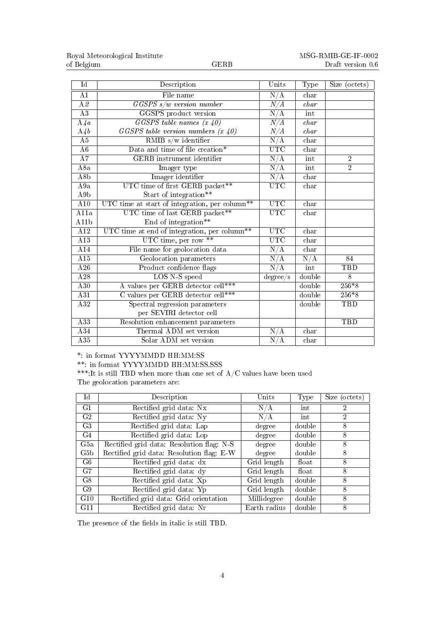| $\overline{\text{Id}}$ | Description                                                | Units                   | Type                 | Size (octets)   |
|------------------------|------------------------------------------------------------|-------------------------|----------------------|-----------------|
| $\overline{A1}$        | File name                                                  | N/A                     | char                 |                 |
| $\overline{A2}$        | $\overline{GGSPS}$ s/w version number                      | N/A                     | char                 |                 |
| $\overline{A3}$        | GGSPS product version                                      | N/A                     | int                  |                 |
| A4a                    | $GGSPS$ table names $(x, 40)$                              | N/A                     | char                 |                 |
| A4b                    | GGSPS table version numbers $(x\ 40)$                      | N/A                     | char                 |                 |
| A5                     | RMIB $s/w$ identifier                                      | N/A                     | char                 |                 |
| A6                     | Data and time of file creation*                            | <b>UTC</b>              | $_{\rm char}$        |                 |
| A7                     | <b>GERB</b> instrument identifier                          | N/A                     | int                  | $\overline{2}$  |
| A8a                    | Imager type                                                | N/A                     | int                  | $\overline{2}$  |
| A8 <sub>b</sub>        | Imager identifier                                          | N/A                     | char                 |                 |
| A9a                    | UTC time of first GERB packet**                            | <b>UTC</b>              | char                 |                 |
| A9b                    | Start of integration**                                     |                         |                      |                 |
| A10                    | UTC time at start of integration, per column <sup>**</sup> | $\overline{\text{UTC}}$ | char                 |                 |
| A11a                   | UTC time of last GERB packet**                             | <b>UTC</b>              | char                 |                 |
| A11b                   | End of integration**                                       |                         |                      |                 |
| A12                    | UTC time at end of integration, per column <sup>**</sup>   | <b>UTC</b>              | char                 |                 |
| A13                    | UTC time, per row $**$                                     | <b>UTC</b>              | char                 |                 |
| A14                    | File name for geolocation data                             | $\overline{\rm N/A}$    | $_{\rm char}$        |                 |
| A15                    | Geolocation parameters                                     | N/A                     | $\overline{\rm N/A}$ | $\overline{84}$ |
| A26                    | Product confidence flags                                   | $\rm \overline{N}/A$    | int                  | TBD             |
| A28                    | LOS N-S speed                                              | degree/s                | double               | $\overline{8}$  |
| $\overline{A30}$       | A values per GERB detector cell***                         |                         | double               | $256*8$         |
| A31                    | C values per GERB detector cell***                         |                         | double               | $256*8$         |
| A32                    | Spectral regression parameters                             |                         | double               | TBD             |
|                        | per SEVIRI detector cell                                   |                         |                      |                 |
| $\overline{A33}$       | Resolution enhancement parameters                          |                         |                      | TBD             |
| A34                    | Thermal ADM set version                                    | N/A                     | char                 |                 |
| A35                    | Solar ADM set version                                      | $\overline{N/A}$        | char                 |                 |

\*: in format YYYYMMDD HH:MM:SS

\*\*: in format YYYYMMDD HH:MM:SS.SSS

\*\*\*:It is still TBD when more than one set of  $A/C$  values have been used The geolocation parameters are:

| $\rm Id$        | Description                               | Units        | Type              | Size (octets) |
|-----------------|-------------------------------------------|--------------|-------------------|---------------|
| G1              | Rectified grid data: Nx                   | N/A          | int               |               |
| G <sub>2</sub>  | Rectified grid data: Ny                   | N/A          | int               | 2             |
| G <sub>3</sub>  | Rectified grid data: Lap                  | degree       | double            | 8             |
| G4              | Rectified grid data: Lop                  | degree       | double            | 8             |
| G5a             | Rectified grid data: Resolution flag: N-S | degree       | double            | 8             |
| G5 <sub>b</sub> | Rectified grid data: Resolution flag: E-W | degree       | double            | 8             |
| G6              | Rectified grid data: dx                   | Grid length  | $_{\text{float}}$ | 8             |
| G7              | Rectified grid data: dy                   | Grid length  | float             | 8             |
| G8              | Rectified grid data: Xp                   | Grid length  | double            | 8             |
| G9              | Rectified grid data: Yp                   | Grid length  | double            | 8             |
| G10             | Rectified grid data: Grid orientation     | Millidegree  | double            | 8             |
| G11             | Rectified grid data: Nr                   | Earth radius | double            | 8             |

The presence of the fields in italic is still TBD.  $\,$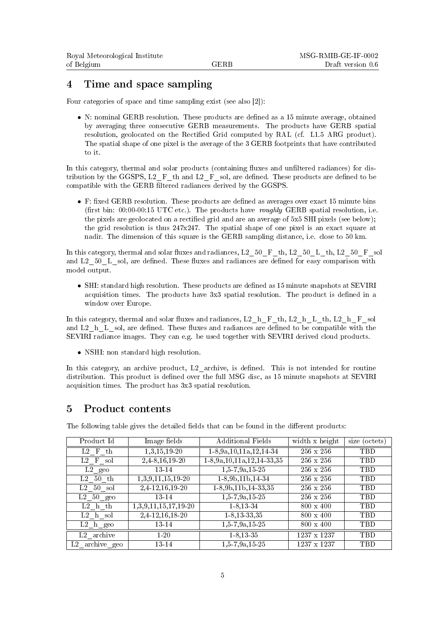#### 4 Time and space sampling

Four categories of space and time sampling exist (see also [2]):

• N: nominal GERB resolution. These products are defined as a 15 minute average, obtained by averaging three consecutive GERB measurements. The products have GERB spatial resolution, geolocated on the Rectified Grid computed by RAL (cf. L1.5 ARG product). The spatial shape of one pixel is the average of the 3 GERB footprints that have contributed to it.

In this category, thermal and solar products (containing fluxes and unfiltered radiances) for distribution by the GGSPS,  $L2$  F th and  $L2$  F sol, are defined. These products are defined to be compatible with the GERB filtered radiances derived by the GGSPS.

 $\bullet$  F: fixed GERB resolution. These products are defined as averages over exact 15 minute bins (first bin:  $00:00-00:15$  UTC etc.). The products have *roughly* GERB spatial resolution, i.e. the pixels are geolocated on a rectified grid and are an average of 5x5 SHI pixels (see below); the grid resolution is thus  $247x247$ . The spatial shape of one pixel is an exact square at nadir. The dimension of this square is the GERB sampling distance, i.e. close to 50 km.

In this category, thermal and solar fluxes and radiances, L2 $50$  F th, L2 $50$  L th, L2 $50$  F sol and  $L2$  50 L sol, are defined. These fluxes and radiances are defined for easy comparison with model output.

• SHI: standard high resolution. These products are defined as 15 minute snapshots at SEVIRI acquisition times. The products have  $3x3$  spatial resolution. The product is defined in a window over Europe.

In this category, thermal and solar fluxes and radiances,  $L2-hF$  th,  $L2-hL$  th,  $L2-hF$  sol and  $L2$ <sup>h</sup>L sol, are defined. These fluxes and radiances are defined to be compatible with the SEVIRI radiance images. They can e.g. be used together with SEVIRI derived cloud products.

• NSHI: non standard high resolution.

In this category, an archive product, L2 archive, is defined. This is not intended for routine distribution. This product is defined over the full MSG disc, as 15 minute snapshots at SEVIRI acquisition times. The product has 3x3 spatial resolution.

#### 5 Product contents

| Product Id             | Image fields         | <b>Additional Fields</b>          | width x height   | size (octets) |
|------------------------|----------------------|-----------------------------------|------------------|---------------|
| $L2$ F th              | 1,3,15,19-20         | $1-8, 9a, 10, 11a, 12, 14-34$     | $256 \times 256$ | TBD           |
| $L2$ F sol             | 2,4-8,16,19-20       | $1-8, 9a, 10, 11a, 12, 14-33, 35$ | 256 x 256        | TBD           |
| $L2$ geo               | 13-14                | $1,5-7,9a,15-25$                  | 256 x 256        | TBD           |
| L2 50 th               | 1,3,9,11,15,19-20    | $1-8,9b,11b,14-34$                | 256 x 256        | TBD           |
| $L2$ 50 sol            | $2,4-12,16,19-20$    | $1-8,9b,11b,14-33,35$             | 256 x 256        | TBD           |
| $L2 50$ geo            | 13-14                | $1,5$ -7,9a,15-25                 | 256 x 256        | TBD           |
| $L2$ h th              | 1,3,9,11,15,17,19-20 | $1 - 8, 13 - 34$                  | $800 \times 400$ | TBD           |
| $L2$ h sol             | 2,4-12,16,18-20      | $1-8, 13-33, 35$                  | $800 \times 400$ | TBD           |
| $L2$ h geo             | 13-14                | $1,5$ -7,9a,15-25                 | $800 \times 400$ | TBD           |
| L <sub>2</sub> archive | $1 - 20$             | $1 - 8, 13 - 35$                  | 1237 x 1237      | TBD           |
| archive geo<br>L2      | 13-14                | $1,5 - 7,9a,15 - 25$              | 1237 x 1237      | <b>TBD</b>    |

The following table gives the detailed fields that can be found in the different products: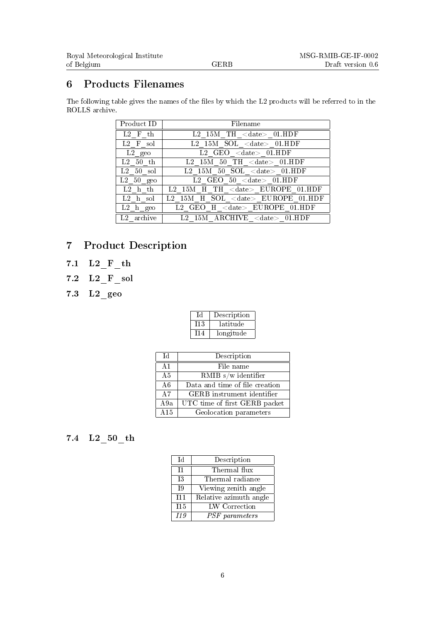### 6 Products Filenames

The following table gives the names of the files by which the L2 products will be referred to in the ROLLS archive.

| Product ID                 | Filename                                                     |
|----------------------------|--------------------------------------------------------------|
| Τ.2<br>th.<br>F            | $TH <$ date> 01.HDF<br>L <sub>2</sub><br>15M                 |
| L2<br>F<br>sol             | L2 15M SOL $\langle$ date $> 01$ .HDF                        |
| $L2 \text{ geo}$           | $\rm <$ date $>$ 01. ${\rm HDF}$<br>L2<br>GEO.               |
| L2<br>$50$ th              | $50$ TH $\langle$ date $>$ 01.HDF<br>L <sub>2</sub><br>15M - |
| L2<br>$50$ sol             | L2 15M 50 SOL $\langle$ date $>$ 01.HDF                      |
| $L2 50$ geo                | GEO $50 <$ date> $01.HDF$<br>L2                              |
| L2<br>h th                 | TH <date> EUROPE 01.HDF<br/><math>L2</math> 15M<br/>H</date> |
| L <sub>2</sub><br>sol<br>h | SOL <date> EUROPE<br/>L2<br/>-15M<br/>H</date>               |
| L2<br>geo<br>h             | $\langle \text{date}\rangle$ EUROPE<br>HDF<br>H              |
| archive<br>L2              | L <sub>2</sub><br>$RCHIVE <$ date $>$<br>–15 M               |

### 7 Product Description

- 7.1 L2 F th
- 7.2 L2\_F\_sol
- 7.3 L2\_geo

|      | Description |
|------|-------------|
| -113 | latitude    |
| 114  | longitude   |

| Тd              | Description                       |
|-----------------|-----------------------------------|
| A <sub>1</sub>  | File name                         |
| A <sub>5</sub>  | RMIB $s/w$ identifier             |
| A6              | Data and time of file creation    |
| $\overline{A7}$ | <b>GERB</b> instrument identifier |
| A9a             | UTC time of first GERB packet     |
| A15             | Geolocation parameters            |

### 7.4 L2\_50\_th

| Тd              | Description            |
|-----------------|------------------------|
| T1              | Thermal flux           |
| Τ3              | Thermal radiance       |
| $\overline{19}$ | Viewing zenith angle   |
| T11             | Relative azimuth angle |
| I15             | LW Correction          |
| I19             | PSF parameters         |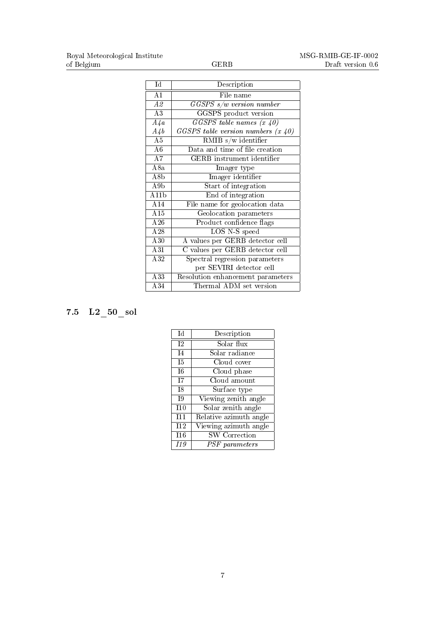| $\overline{\text{Id}}$ | Description                             |
|------------------------|-----------------------------------------|
| $\overline{A1}$        | File name                               |
| A2                     | $GGSPS$ s/w version number              |
| A3                     | GGSPS product version                   |
| $A\sqrt{a}$            | $GGSPS$ table names $(x 40)$            |
| $A\mathcal{A}b$        | $GGSPS$ table version numbers $(x, 40)$ |
| A5                     | RMIB $s/w$ identifier                   |
| $\overline{A6}$        | Data and time of file creation          |
| A7                     | GERB instrument identifier              |
| A8a                    | Imager type                             |
| A8 <sub>b</sub>        | Imager identifier                       |
| A9b                    | Start of integration                    |
| $\overline{\rm A11b}$  | End of integration                      |
| A14                    | File name for geolocation data          |
| $\overline{A15}$       | Geolocation parameters                  |
| $\overline{A26}$       | Product confidence flags                |
| A28                    | LOS N-S speed                           |
| A30                    | A values per GERB detector cell         |
| A31                    | C values per GERB detector cell         |
| A32                    | Spectral regression parameters          |
|                        | per SEVIRI detector cell                |
| $\overline{A33}$       | Resolution enhancement parameters       |
| A34                    | Thermal ADM set version                 |

# 7.5 L2\_50\_sol

| Īd             | Description            |
|----------------|------------------------|
| T <sub>2</sub> | Solar flux             |
| I <sub>4</sub> | Solar radiance         |
| T5             | Cloud cover            |
| T6             | Cloud phase            |
| T7             | Cloud amount           |
| T8             | Surface type           |
| <b>T9</b>      | Viewing zenith angle   |
| T10            | Solar zenith angle     |
| T11            | Relative azimuth angle |
| I12            | Viewing azimuth angle  |
| I16            | <b>SW</b> Correction   |
| I19            | PSF parameters         |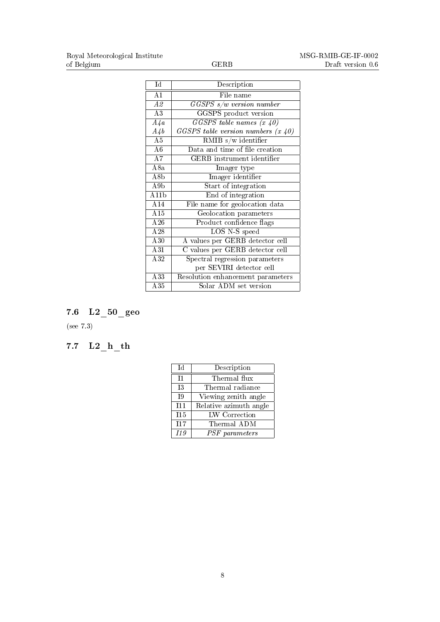| Id                    | Description                             |
|-----------------------|-----------------------------------------|
| A1                    | File name                               |
| A2                    | $GGSPS$ s/w version number              |
| A3                    | <b>GGSPS</b> product version            |
| $A\overline{4}a$      | $GGSPS$ table names $(x 40)$            |
| $A\overline{4}b$      | $GGSPS$ table version numbers $(x, 40)$ |
| $\overline{A5}$       | RMIB $s/w$ identifier                   |
| A6                    | Data and time of file creation          |
| A7                    | <b>GERB</b> instrument identifier       |
| A8a                   | Imager type                             |
| A8b                   | Imager identifier                       |
| A9b                   | Start of integration                    |
| $\overline{\rm A11b}$ | End of integration                      |
| A14                   | File name for geolocation data          |
| A15                   | Geolocation parameters                  |
| A26                   | Product confidence flags                |
| A28                   | LOS N-S speed                           |
| $\overline{A30}$      | A values per GERB detector cell         |
| $\overline{A31}$      | C values per GERB detector cell         |
| A32                   | Spectral regression parameters          |
|                       | per SEVIRI detector cell                |
| $\overline{A33}$      | Resolution enhancement parameters       |
| A35                   | Solar ADM set version                   |

# 7.6 L2\_50\_geo

(see 7.3)

# 7.7  $L2_h$ <sup>th</sup>

| Тd               | Description            |
|------------------|------------------------|
| T1               | Thermal flux           |
| 13               | Thermal radiance       |
| $\overline{19}$  | Viewing zenith angle   |
| T11              | Relative azimuth angle |
| $\overline{115}$ | LW Correction          |
| $\overline{117}$ | Thermal ADM            |
| I19              | PSF parameters         |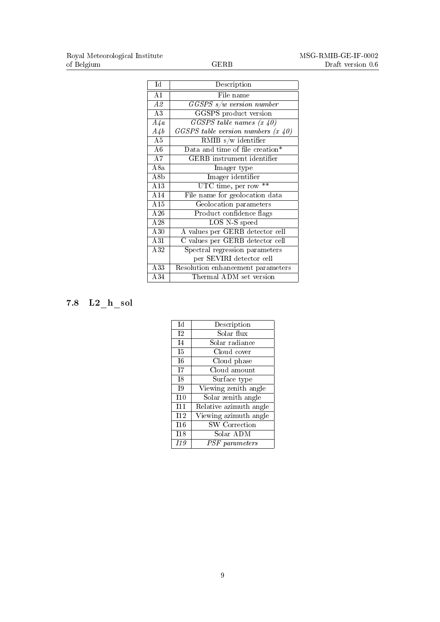| $\overline{\text{Id}}$ | Description                           |
|------------------------|---------------------------------------|
| A <sub>1</sub>         | File name                             |
| $\overline{A2}$        | $GGSPS$ s/w version number            |
| A3                     | GGSPS product version                 |
| $A\overline{4}a$       | $GGSPS$ table names $(x 40)$          |
| $A\mathcal{A}b$        | GGSPS table version numbers $(x, 40)$ |
| A5                     | RMIB $s/w$ identifier                 |
| $\overline{A6}$        | Data and time of file creation*       |
| $\overline{A7}$        | GERB instrument identifier            |
| A8a                    | Imager type                           |
| A8b                    | Imager identifier                     |
| A13                    | UTC time, per row $**$                |
| A14                    | File name for geolocation data        |
| A15                    | Geolocation parameters                |
| A26                    | Product confidence flags              |
| A28                    | LOS N-S speed                         |
| A30                    | A values per GERB detector cell       |
| A31                    | C values per GERB detector cell       |
| A32                    | Spectral regression parameters        |
|                        | per SEVIRI detector cell              |
| A33                    | Resolution enhancement parameters     |
| A34                    | Thermal ADM set version               |

# 7.8 L2\_h\_sol

| Тd             | Description            |
|----------------|------------------------|
| T <sub>2</sub> | Solar flux             |
| I <sub>4</sub> | Solar radiance         |
| I <sub>5</sub> | Cloud cover            |
| T <sub>6</sub> | Cloud phase            |
| T <sub>7</sub> | Cloud amount           |
| T8             | Surface type           |
| T <sub>9</sub> | Viewing zenith angle   |
| T10            | Solar zenith angle     |
| T11            | Relative azimuth angle |
| T12            | Viewing azimuth angle  |
| T16            | <b>SW</b> Correction   |
| I18            | Solar ADM              |
| I19            | PSF parameters         |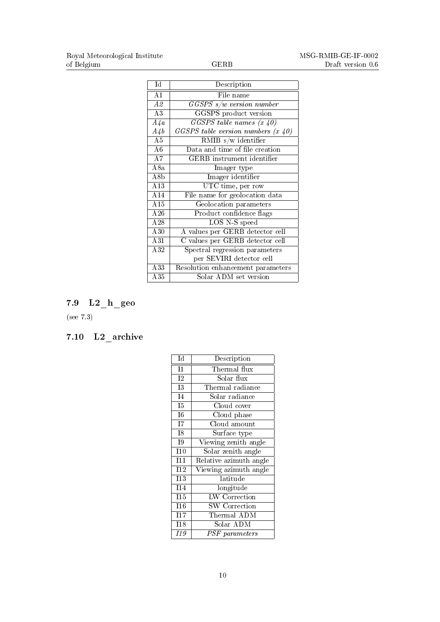| Id               | Description                               |
|------------------|-------------------------------------------|
| A1               | File name                                 |
| A2               | $GGSPS$ s/w version number                |
| A3               | GGSPS product version                     |
| $\overline{A4a}$ | $\overline{GGSPS}$ table names $(x 40)$   |
| $A\mathcal{A}b$  | $GGSPS$ table version numbers $(x, 40)$   |
| $\overline{A5}$  | RMIB $s/w$ identifier                     |
| A6               | Data and time of file creation            |
| $\overline{A7}$  | GERB instrument identifier                |
| A8a              | Imager type                               |
| A8b              | Imager identifier                         |
| A13              | UTC time, per row                         |
| A14              | File name for geolocation data            |
| A15              | Geolocation parameters                    |
| A26              | Product confidence flags                  |
| $\overline{A28}$ | LOS N-S speed                             |
| $\overline{A30}$ | A values per GERB detector cell           |
| A31              | C values per GERB detector cell           |
| A32              | Spectral regression parameters            |
|                  | per SEVIRI detector cell                  |
| A33              | Resolution enhancement parameters         |
| $\overline{A35}$ | $\overline{\text{Solar ADM}}$ set version |

# 7.9 L2\_h\_geo

(see 7.3)

### 7.10 L2\_archive

| Id                       | Description                         |
|--------------------------|-------------------------------------|
| T1                       | Thermal flux                        |
| T <sub>2</sub>           | Solar flux                          |
| $\overline{13}$          | Thermal radiance                    |
| $\overline{14}$          | Solar radiance                      |
| $\overline{15}$          | Cloud cover                         |
| $\overline{16}$          | Cloud phase                         |
| $\overline{\mathbf{I7}}$ | Cloud amount                        |
| I8                       | $\overline{\mathrm{S}}$ urface type |
| T <sub>9</sub>           | Viewing zenith angle                |
| I10                      | Solar zenith angle                  |
| I11                      | Relative azimuth angle              |
| I12                      | Viewing azimuth angle               |
| 113                      | latitude                            |
| T14                      | $\overline{\text{long}}$ itude      |
| I15                      | <b>LW</b> Correction                |
| T16                      | <b>SW</b> Correction                |
| T17                      | Thermal $\overline{\text{ADM}}$     |
| I18                      | $Solar$ $\overline{\mathrm{ADM}}$   |
| 119                      | PSF parameters                      |